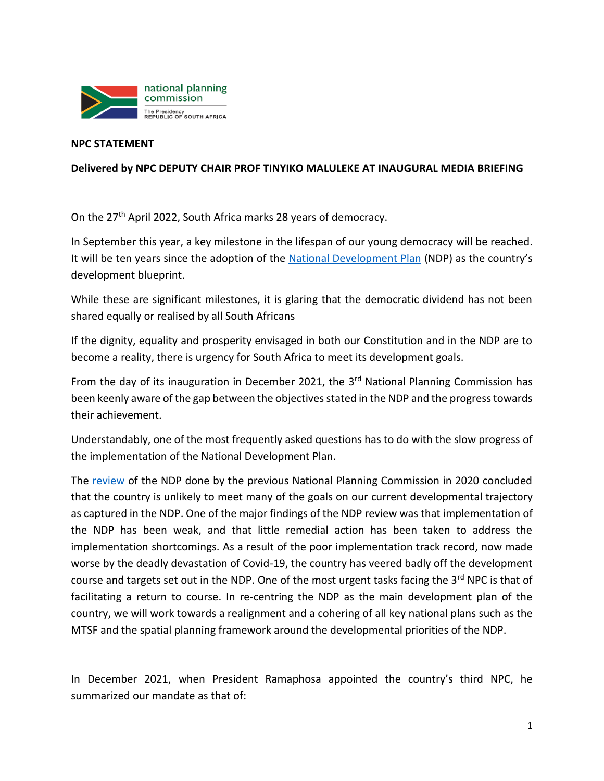

## **NPC STATEMENT**

## **Delivered by NPC DEPUTY CHAIR PROF TINYIKO MALULEKE AT INAUGURAL MEDIA BRIEFING**

On the 27th April 2022, South Africa marks 28 years of democracy.

In September this year, a key milestone in the lifespan of our young democracy will be reached. It will be ten years since the adoption of the [National Development Plan](https://www.gov.za/sites/default/files/gcis_document/201409/ndp-2030-our-future-make-it-workr.pdf) (NDP) as the country's development blueprint.

While these are significant milestones, it is glaring that the democratic dividend has not been shared equally or realised by all South Africans

If the dignity, equality and prosperity envisaged in both our Constitution and in the NDP are to become a reality, there is urgency for South Africa to meet its development goals.

From the day of its inauguration in December 2021, the 3<sup>rd</sup> National Planning Commission has been keenly aware of the gap between the objectives stated in the NDP and the progress towards their achievement.

Understandably, one of the most frequently asked questions has to do with the slow progress of the implementation of the National Development Plan.

The [review](https://www.nationalplanningcommission.org.za/assets/Documents/NDP%20REVIEW.pdf) of the NDP done by the previous National Planning Commission in 2020 concluded that the country is unlikely to meet many of the goals on our current developmental trajectory as captured in the NDP. One of the major findings of the NDP review was that implementation of the NDP has been weak, and that little remedial action has been taken to address the implementation shortcomings. As a result of the poor implementation track record, now made worse by the deadly devastation of Covid-19, the country has veered badly off the development course and targets set out in the NDP. One of the most urgent tasks facing the 3rd NPC is that of facilitating a return to course. In re-centring the NDP as the main development plan of the country, we will work towards a realignment and a cohering of all key national plans such as the MTSF and the spatial planning framework around the developmental priorities of the NDP.

In December 2021, when President Ramaphosa appointed the country's third NPC, he summarized our mandate as that of: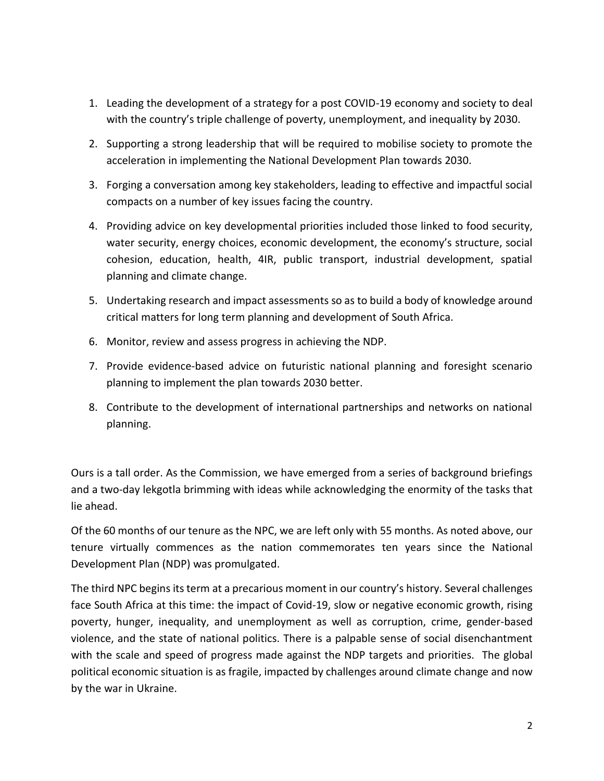- 1. Leading the development of a strategy for a post COVID-19 economy and society to deal with the country's triple challenge of poverty, unemployment, and inequality by 2030.
- 2. Supporting a strong leadership that will be required to mobilise society to promote the acceleration in implementing the National Development Plan towards 2030.
- 3. Forging a conversation among key stakeholders, leading to effective and impactful social compacts on a number of key issues facing the country.
- 4. Providing advice on key developmental priorities included those linked to food security, water security, energy choices, economic development, the economy's structure, social cohesion, education, health, 4IR, public transport, industrial development, spatial planning and climate change.
- 5. Undertaking research and impact assessments so as to build a body of knowledge around critical matters for long term planning and development of South Africa.
- 6. Monitor, review and assess progress in achieving the NDP.
- 7. Provide evidence-based advice on futuristic national planning and foresight scenario planning to implement the plan towards 2030 better.
- 8. Contribute to the development of international partnerships and networks on national planning.

Ours is a tall order. As the Commission, we have emerged from a series of background briefings and a two-day lekgotla brimming with ideas while acknowledging the enormity of the tasks that lie ahead.

Of the 60 months of our tenure as the NPC, we are left only with 55 months. As noted above, our tenure virtually commences as the nation commemorates ten years since the National Development Plan (NDP) was promulgated.

The third NPC begins its term at a precarious moment in our country's history. Several challenges face South Africa at this time: the impact of Covid-19, slow or negative economic growth, rising poverty, hunger, inequality, and unemployment as well as corruption, crime, gender-based violence, and the state of national politics. There is a palpable sense of social disenchantment with the scale and speed of progress made against the NDP targets and priorities. The global political economic situation is as fragile, impacted by challenges around climate change and now by the war in Ukraine.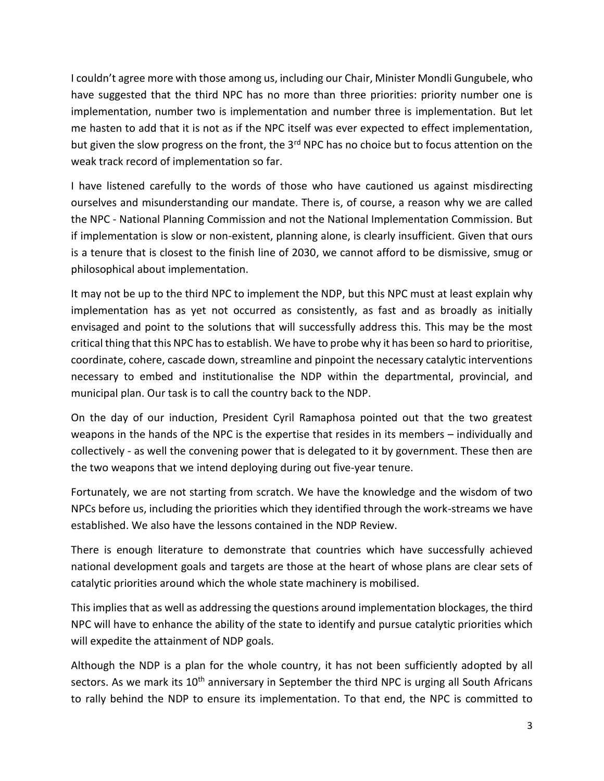I couldn't agree more with those among us, including our Chair, Minister Mondli Gungubele, who have suggested that the third NPC has no more than three priorities: priority number one is implementation, number two is implementation and number three is implementation. But let me hasten to add that it is not as if the NPC itself was ever expected to effect implementation, but given the slow progress on the front, the 3<sup>rd</sup> NPC has no choice but to focus attention on the weak track record of implementation so far.

I have listened carefully to the words of those who have cautioned us against misdirecting ourselves and misunderstanding our mandate. There is, of course, a reason why we are called the NPC - National Planning Commission and not the National Implementation Commission. But if implementation is slow or non-existent, planning alone, is clearly insufficient. Given that ours is a tenure that is closest to the finish line of 2030, we cannot afford to be dismissive, smug or philosophical about implementation.

It may not be up to the third NPC to implement the NDP, but this NPC must at least explain why implementation has as yet not occurred as consistently, as fast and as broadly as initially envisaged and point to the solutions that will successfully address this. This may be the most critical thing that this NPC has to establish. We have to probe why it has been so hard to prioritise, coordinate, cohere, cascade down, streamline and pinpoint the necessary catalytic interventions necessary to embed and institutionalise the NDP within the departmental, provincial, and municipal plan. Our task is to call the country back to the NDP.

On the day of our induction, President Cyril Ramaphosa pointed out that the two greatest weapons in the hands of the NPC is the expertise that resides in its members – individually and collectively - as well the convening power that is delegated to it by government. These then are the two weapons that we intend deploying during out five-year tenure.

Fortunately, we are not starting from scratch. We have the knowledge and the wisdom of two NPCs before us, including the priorities which they identified through the work-streams we have established. We also have the lessons contained in the NDP Review.

There is enough literature to demonstrate that countries which have successfully achieved national development goals and targets are those at the heart of whose plans are clear sets of catalytic priorities around which the whole state machinery is mobilised.

This implies that as well as addressing the questions around implementation blockages, the third NPC will have to enhance the ability of the state to identify and pursue catalytic priorities which will expedite the attainment of NDP goals.

Although the NDP is a plan for the whole country, it has not been sufficiently adopted by all sectors. As we mark its  $10<sup>th</sup>$  anniversary in September the third NPC is urging all South Africans to rally behind the NDP to ensure its implementation. To that end, the NPC is committed to